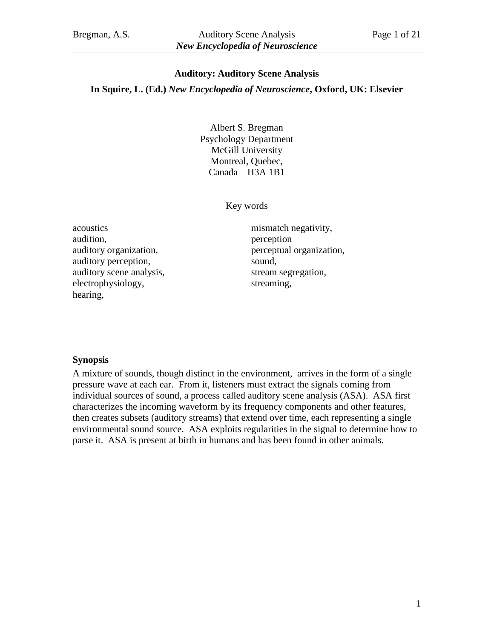#### **Auditory: Auditory Scene Analysis**

#### **In Squire, L. (Ed.)** *New Encyclopedia of Neuroscience***, Oxford, UK: Elsevier**

Albert S. Bregman Psychology Department McGill University Montreal, Quebec, Canada H3A 1B1

Key words

acoustics mismatch negativity, audition, perception auditory organization, perceptual organization, auditory perception, sound, sound, auditory scene analysis, stream segregation, electrophysiology, streaming, hearing,

#### **Synopsis**

A mixture of sounds, though distinct in the environment, arrives in the form of a single pressure wave at each ear. From it, listeners must extract the signals coming from individual sources of sound, a process called auditory scene analysis (ASA). ASA first characterizes the incoming waveform by its frequency components and other features, then creates subsets (auditory streams) that extend over time, each representing a single environmental sound source. ASA exploits regularities in the signal to determine how to parse it. ASA is present at birth in humans and has been found in other animals.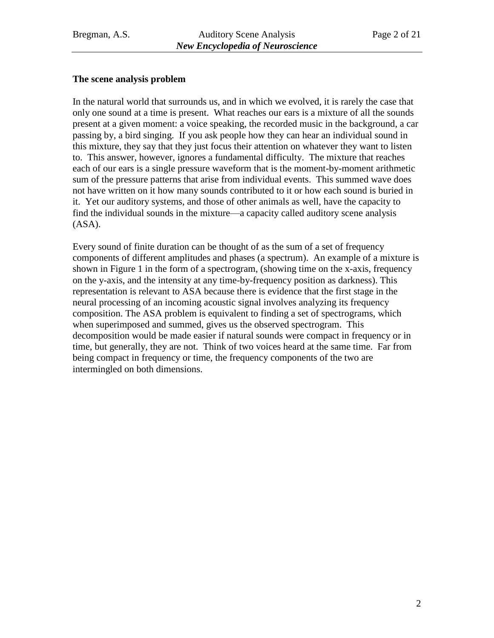# **The scene analysis problem**

In the natural world that surrounds us, and in which we evolved, it is rarely the case that only one sound at a time is present. What reaches our ears is a mixture of all the sounds present at a given moment: a voice speaking, the recorded music in the background, a car passing by, a bird singing. If you ask people how they can hear an individual sound in this mixture, they say that they just focus their attention on whatever they want to listen to. This answer, however, ignores a fundamental difficulty. The mixture that reaches each of our ears is a single pressure waveform that is the moment-by-moment arithmetic sum of the pressure patterns that arise from individual events. This summed wave does not have written on it how many sounds contributed to it or how each sound is buried in it. Yet our auditory systems, and those of other animals as well, have the capacity to find the individual sounds in the mixture—a capacity called auditory scene analysis (ASA).

Every sound of finite duration can be thought of as the sum of a set of frequency components of different amplitudes and phases (a spectrum). An example of a mixture is shown in Figure 1 in the form of a spectrogram, (showing time on the x-axis, frequency on the y-axis, and the intensity at any time-by-frequency position as darkness). This representation is relevant to ASA because there is evidence that the first stage in the neural processing of an incoming acoustic signal involves analyzing its frequency composition. The ASA problem is equivalent to finding a set of spectrograms, which when superimposed and summed, gives us the observed spectrogram. This decomposition would be made easier if natural sounds were compact in frequency or in time, but generally, they are not. Think of two voices heard at the same time. Far from being compact in frequency or time, the frequency components of the two are intermingled on both dimensions.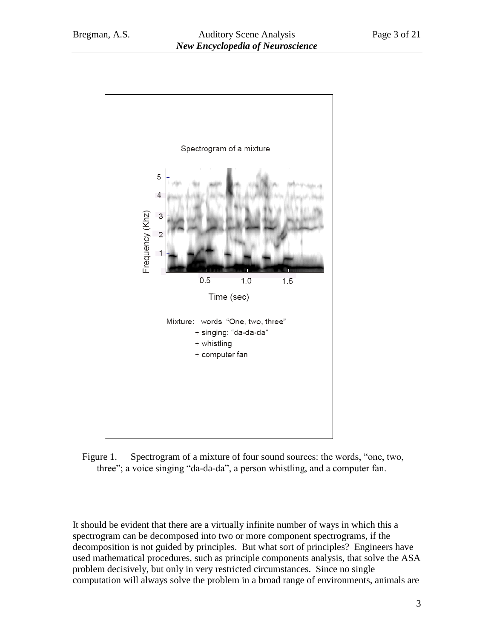

Figure 1. Spectrogram of a mixture of four sound sources: the words, "one, two, three"; a voice singing "da-da-da", a person whistling, and a computer fan.

It should be evident that there are a virtually infinite number of ways in which this a spectrogram can be decomposed into two or more component spectrograms, if the decomposition is not guided by principles. But what sort of principles? Engineers have used mathematical procedures, such as principle components analysis, that solve the ASA problem decisively, but only in very restricted circumstances. Since no single computation will always solve the problem in a broad range of environments, animals are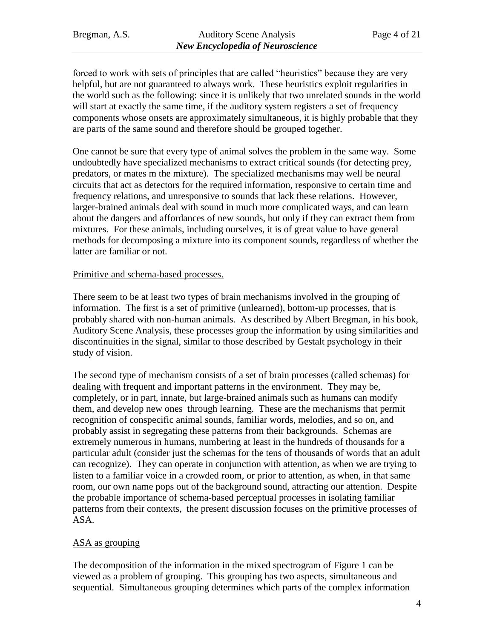forced to work with sets of principles that are called "heuristics" because they are very helpful, but are not guaranteed to always work. These heuristics exploit regularities in the world such as the following: since it is unlikely that two unrelated sounds in the world will start at exactly the same time, if the auditory system registers a set of frequency components whose onsets are approximately simultaneous, it is highly probable that they are parts of the same sound and therefore should be grouped together.

One cannot be sure that every type of animal solves the problem in the same way. Some undoubtedly have specialized mechanisms to extract critical sounds (for detecting prey, predators, or mates m the mixture). The specialized mechanisms may well be neural circuits that act as detectors for the required information, responsive to certain time and frequency relations, and unresponsive to sounds that lack these relations. However, larger-brained animals deal with sound in much more complicated ways, and can learn about the dangers and affordances of new sounds, but only if they can extract them from mixtures. For these animals, including ourselves, it is of great value to have general methods for decomposing a mixture into its component sounds, regardless of whether the latter are familiar or not.

## Primitive and schema-based processes.

There seem to be at least two types of brain mechanisms involved in the grouping of information. The first is a set of primitive (unlearned), bottom-up processes, that is probably shared with non-human animals. As described by Albert Bregman, in his book, Auditory Scene Analysis, these processes group the information by using similarities and discontinuities in the signal, similar to those described by Gestalt psychology in their study of vision.

The second type of mechanism consists of a set of brain processes (called schemas) for dealing with frequent and important patterns in the environment. They may be, completely, or in part, innate, but large-brained animals such as humans can modify them, and develop new ones through learning. These are the mechanisms that permit recognition of conspecific animal sounds, familiar words, melodies, and so on, and probably assist in segregating these patterns from their backgrounds. Schemas are extremely numerous in humans, numbering at least in the hundreds of thousands for a particular adult (consider just the schemas for the tens of thousands of words that an adult can recognize). They can operate in conjunction with attention, as when we are trying to listen to a familiar voice in a crowded room, or prior to attention, as when, in that same room, our own name pops out of the background sound, attracting our attention. Despite the probable importance of schema-based perceptual processes in isolating familiar patterns from their contexts, the present discussion focuses on the primitive processes of ASA.

## ASA as grouping

The decomposition of the information in the mixed spectrogram of Figure 1 can be viewed as a problem of grouping. This grouping has two aspects, simultaneous and sequential. Simultaneous grouping determines which parts of the complex information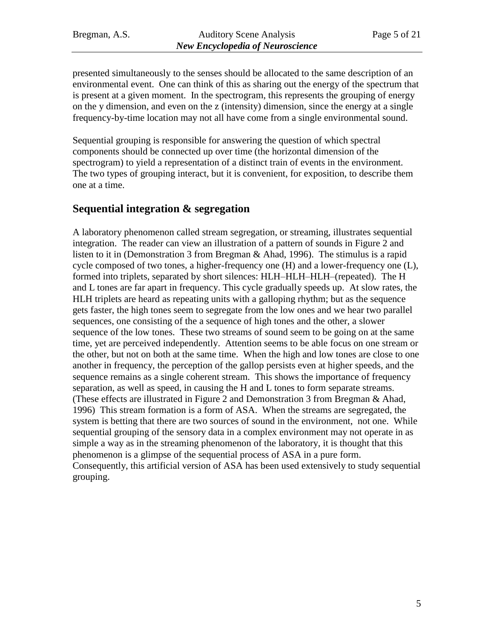presented simultaneously to the senses should be allocated to the same description of an environmental event. One can think of this as sharing out the energy of the spectrum that is present at a given moment. In the spectrogram, this represents the grouping of energy on the y dimension, and even on the z (intensity) dimension, since the energy at a single frequency-by-time location may not all have come from a single environmental sound.

Sequential grouping is responsible for answering the question of which spectral components should be connected up over time (the horizontal dimension of the spectrogram) to yield a representation of a distinct train of events in the environment. The two types of grouping interact, but it is convenient, for exposition, to describe them one at a time.

# **Sequential integration & segregation**

A laboratory phenomenon called stream segregation, or streaming, illustrates sequential integration. The reader can view an illustration of a pattern of sounds in Figure 2 and listen to it in (Demonstration 3 from Bregman & Ahad, 1996). The stimulus is a rapid cycle composed of two tones, a higher-frequency one (H) and a lower-frequency one (L), formed into triplets, separated by short silences: HLH–HLH–HLH–(repeated). The H and L tones are far apart in frequency. This cycle gradually speeds up. At slow rates, the HLH triplets are heard as repeating units with a galloping rhythm; but as the sequence gets faster, the high tones seem to segregate from the low ones and we hear two parallel sequences, one consisting of the a sequence of high tones and the other, a slower sequence of the low tones. These two streams of sound seem to be going on at the same time, yet are perceived independently. Attention seems to be able focus on one stream or the other, but not on both at the same time. When the high and low tones are close to one another in frequency, the perception of the gallop persists even at higher speeds, and the sequence remains as a single coherent stream. This shows the importance of frequency separation, as well as speed, in causing the H and L tones to form separate streams. (These effects are illustrated in Figure 2 and Demonstration 3 from Bregman & Ahad, 1996) This stream formation is a form of ASA. When the streams are segregated, the system is betting that there are two sources of sound in the environment, not one. While sequential grouping of the sensory data in a complex environment may not operate in as simple a way as in the streaming phenomenon of the laboratory, it is thought that this phenomenon is a glimpse of the sequential process of ASA in a pure form. Consequently, this artificial version of ASA has been used extensively to study sequential grouping.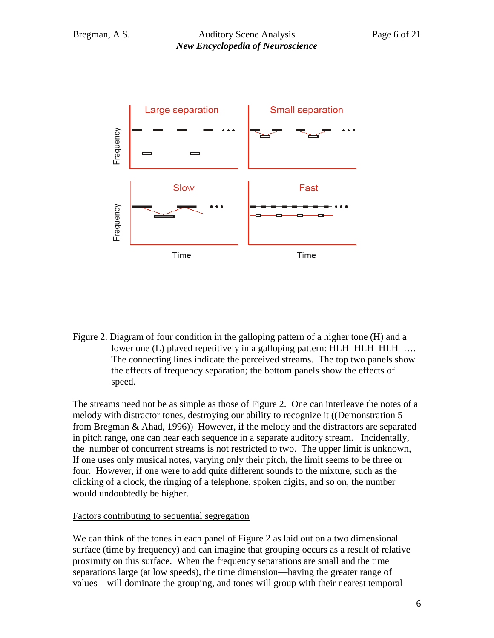

Figure 2. Diagram of four condition in the galloping pattern of a higher tone (H) and a lower one (L) played repetitively in a galloping pattern: HLH–HLH–HLH–.... The connecting lines indicate the perceived streams. The top two panels show the effects of frequency separation; the bottom panels show the effects of speed.

The streams need not be as simple as those of Figure 2. One can interleave the notes of a melody with distractor tones, destroying our ability to recognize it ((Demonstration 5 from Bregman & Ahad, 1996)) However, if the melody and the distractors are separated in pitch range, one can hear each sequence in a separate auditory stream. Incidentally, the number of concurrent streams is not restricted to two. The upper limit is unknown, If one uses only musical notes, varying only their pitch, the limit seems to be three or four. However, if one were to add quite different sounds to the mixture, such as the clicking of a clock, the ringing of a telephone, spoken digits, and so on, the number would undoubtedly be higher.

#### Factors contributing to sequential segregation

We can think of the tones in each panel of Figure 2 as laid out on a two dimensional surface (time by frequency) and can imagine that grouping occurs as a result of relative proximity on this surface. When the frequency separations are small and the time separations large (at low speeds), the time dimension—having the greater range of values—will dominate the grouping, and tones will group with their nearest temporal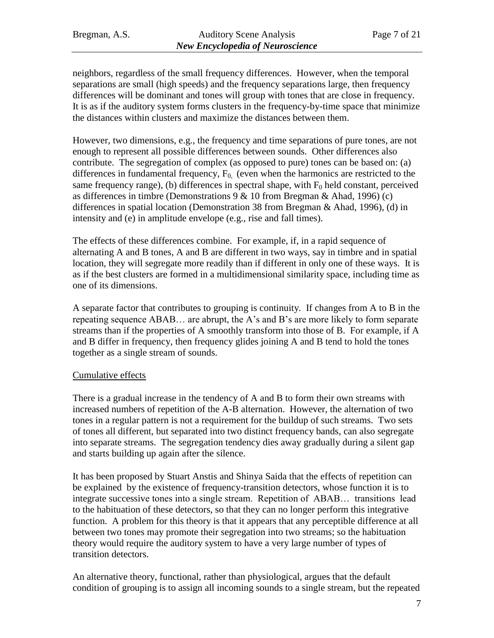neighbors, regardless of the small frequency differences. However, when the temporal separations are small (high speeds) and the frequency separations large, then frequency differences will be dominant and tones will group with tones that are close in frequency. It is as if the auditory system forms clusters in the frequency-by-time space that minimize the distances within clusters and maximize the distances between them.

However, two dimensions, e.g., the frequency and time separations of pure tones, are not enough to represent all possible differences between sounds. Other differences also contribute. The segregation of complex (as opposed to pure) tones can be based on: (a) differences in fundamental frequency,  $F_0$  (even when the harmonics are restricted to the same frequency range), (b) differences in spectral shape, with  $F_0$  held constant, perceived as differences in timbre (Demonstrations 9 & 10 from Bregman & Ahad, 1996) (c) differences in spatial location (Demonstration 38 from Bregman & Ahad, 1996), (d) in intensity and (e) in amplitude envelope (e.g., rise and fall times).

The effects of these differences combine. For example, if, in a rapid sequence of alternating A and B tones, A and B are different in two ways, say in timbre and in spatial location, they will segregate more readily than if different in only one of these ways. It is as if the best clusters are formed in a multidimensional similarity space, including time as one of its dimensions.

A separate factor that contributes to grouping is continuity. If changes from A to B in the repeating sequence ABAB… are abrupt, the A's and B's are more likely to form separate streams than if the properties of A smoothly transform into those of B. For example, if A and B differ in frequency, then frequency glides joining A and B tend to hold the tones together as a single stream of sounds.

## Cumulative effects

There is a gradual increase in the tendency of A and B to form their own streams with increased numbers of repetition of the A-B alternation. However, the alternation of two tones in a regular pattern is not a requirement for the buildup of such streams. Two sets of tones all different, but separated into two distinct frequency bands, can also segregate into separate streams. The segregation tendency dies away gradually during a silent gap and starts building up again after the silence.

It has been proposed by Stuart Anstis and Shinya Saida that the effects of repetition can be explained by the existence of frequency-transition detectors, whose function it is to integrate successive tones into a single stream. Repetition of ABAB… transitions lead to the habituation of these detectors, so that they can no longer perform this integrative function. A problem for this theory is that it appears that any perceptible difference at all between two tones may promote their segregation into two streams; so the habituation theory would require the auditory system to have a very large number of types of transition detectors.

An alternative theory, functional, rather than physiological, argues that the default condition of grouping is to assign all incoming sounds to a single stream, but the repeated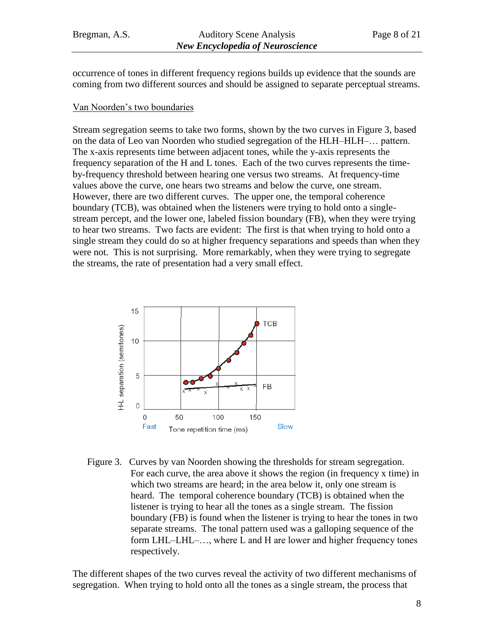occurrence of tones in different frequency regions builds up evidence that the sounds are coming from two different sources and should be assigned to separate perceptual streams.

### Van Noorden's two boundaries

Stream segregation seems to take two forms, shown by the two curves in Figure 3, based on the data of Leo van Noorden who studied segregation of the HLH–HLH–... pattern. The x-axis represents time between adjacent tones, while the y-axis represents the frequency separation of the H and L tones. Each of the two curves represents the timeby-frequency threshold between hearing one versus two streams. At frequency-time values above the curve, one hears two streams and below the curve, one stream. However, there are two different curves. The upper one, the temporal coherence boundary (TCB), was obtained when the listeners were trying to hold onto a singlestream percept, and the lower one, labeled fission boundary (FB), when they were trying to hear two streams. Two facts are evident: The first is that when trying to hold onto a single stream they could do so at higher frequency separations and speeds than when they were not. This is not surprising. More remarkably, when they were trying to segregate the streams, the rate of presentation had a very small effect.



Figure 3. Curves by van Noorden showing the thresholds for stream segregation. For each curve, the area above it shows the region (in frequency x time) in which two streams are heard; in the area below it, only one stream is heard. The temporal coherence boundary (TCB) is obtained when the listener is trying to hear all the tones as a single stream. The fission boundary (FB) is found when the listener is trying to hear the tones in two separate streams. The tonal pattern used was a galloping sequence of the form LHL–LHL–…, where L and H are lower and higher frequency tones respectively.

The different shapes of the two curves reveal the activity of two different mechanisms of segregation. When trying to hold onto all the tones as a single stream, the process that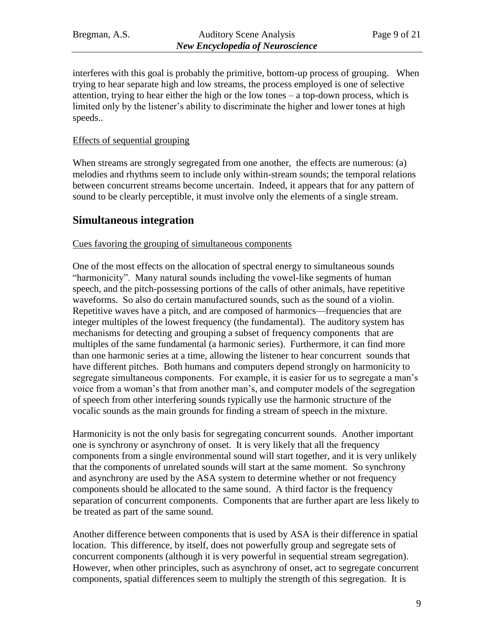interferes with this goal is probably the primitive, bottom-up process of grouping. When trying to hear separate high and low streams, the process employed is one of selective attention, trying to hear either the high or the low tones – a top-down process, which is limited only by the listener's ability to discriminate the higher and lower tones at high speeds..

### Effects of sequential grouping

When streams are strongly segregated from one another, the effects are numerous: (a) melodies and rhythms seem to include only within-stream sounds; the temporal relations between concurrent streams become uncertain. Indeed, it appears that for any pattern of sound to be clearly perceptible, it must involve only the elements of a single stream.

# **Simultaneous integration**

#### Cues favoring the grouping of simultaneous components

One of the most effects on the allocation of spectral energy to simultaneous sounds "harmonicity". Many natural sounds including the vowel-like segments of human speech, and the pitch-possessing portions of the calls of other animals, have repetitive waveforms. So also do certain manufactured sounds, such as the sound of a violin. Repetitive waves have a pitch, and are composed of harmonics—frequencies that are integer multiples of the lowest frequency (the fundamental). The auditory system has mechanisms for detecting and grouping a subset of frequency components that are multiples of the same fundamental (a harmonic series). Furthermore, it can find more than one harmonic series at a time, allowing the listener to hear concurrent sounds that have different pitches. Both humans and computers depend strongly on harmonicity to segregate simultaneous components. For example, it is easier for us to segregate a man's voice from a woman's that from another man's, and computer models of the segregation of speech from other interfering sounds typically use the harmonic structure of the vocalic sounds as the main grounds for finding a stream of speech in the mixture.

Harmonicity is not the only basis for segregating concurrent sounds. Another important one is synchrony or asynchrony of onset. It is very likely that all the frequency components from a single environmental sound will start together, and it is very unlikely that the components of unrelated sounds will start at the same moment. So synchrony and asynchrony are used by the ASA system to determine whether or not frequency components should be allocated to the same sound. A third factor is the frequency separation of concurrent components. Components that are further apart are less likely to be treated as part of the same sound.

Another difference between components that is used by ASA is their difference in spatial location. This difference, by itself, does not powerfully group and segregate sets of concurrent components (although it is very powerful in sequential stream segregation). However, when other principles, such as asynchrony of onset, act to segregate concurrent components, spatial differences seem to multiply the strength of this segregation. It is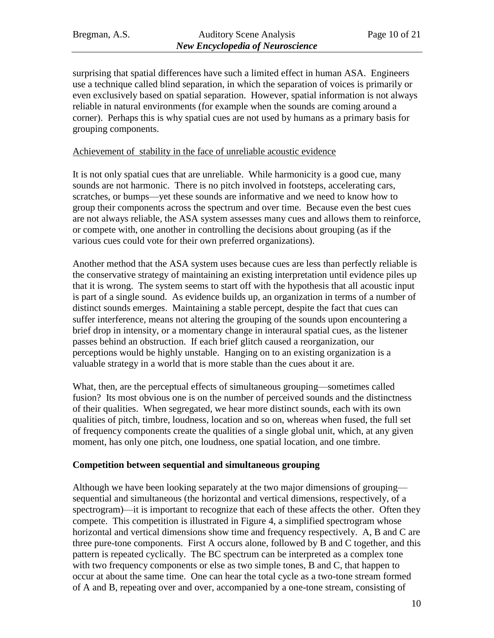surprising that spatial differences have such a limited effect in human ASA. Engineers use a technique called blind separation, in which the separation of voices is primarily or even exclusively based on spatial separation. However, spatial information is not always reliable in natural environments (for example when the sounds are coming around a corner). Perhaps this is why spatial cues are not used by humans as a primary basis for grouping components.

#### Achievement of stability in the face of unreliable acoustic evidence

It is not only spatial cues that are unreliable. While harmonicity is a good cue, many sounds are not harmonic. There is no pitch involved in footsteps, accelerating cars, scratches, or bumps—yet these sounds are informative and we need to know how to group their components across the spectrum and over time. Because even the best cues are not always reliable, the ASA system assesses many cues and allows them to reinforce, or compete with, one another in controlling the decisions about grouping (as if the various cues could vote for their own preferred organizations).

Another method that the ASA system uses because cues are less than perfectly reliable is the conservative strategy of maintaining an existing interpretation until evidence piles up that it is wrong. The system seems to start off with the hypothesis that all acoustic input is part of a single sound. As evidence builds up, an organization in terms of a number of distinct sounds emerges. Maintaining a stable percept, despite the fact that cues can suffer interference, means not altering the grouping of the sounds upon encountering a brief drop in intensity, or a momentary change in interaural spatial cues, as the listener passes behind an obstruction. If each brief glitch caused a reorganization, our perceptions would be highly unstable. Hanging on to an existing organization is a valuable strategy in a world that is more stable than the cues about it are.

What, then, are the perceptual effects of simultaneous grouping—sometimes called fusion? Its most obvious one is on the number of perceived sounds and the distinctness of their qualities. When segregated, we hear more distinct sounds, each with its own qualities of pitch, timbre, loudness, location and so on, whereas when fused, the full set of frequency components create the qualities of a single global unit, which, at any given moment, has only one pitch, one loudness, one spatial location, and one timbre.

## **Competition between sequential and simultaneous grouping**

Although we have been looking separately at the two major dimensions of grouping sequential and simultaneous (the horizontal and vertical dimensions, respectively, of a spectrogram)—it is important to recognize that each of these affects the other. Often they compete. This competition is illustrated in Figure 4, a simplified spectrogram whose horizontal and vertical dimensions show time and frequency respectively. A, B and C are three pure-tone components. First A occurs alone, followed by B and C together, and this pattern is repeated cyclically. The BC spectrum can be interpreted as a complex tone with two frequency components or else as two simple tones, B and C, that happen to occur at about the same time. One can hear the total cycle as a two-tone stream formed of A and B, repeating over and over, accompanied by a one-tone stream, consisting of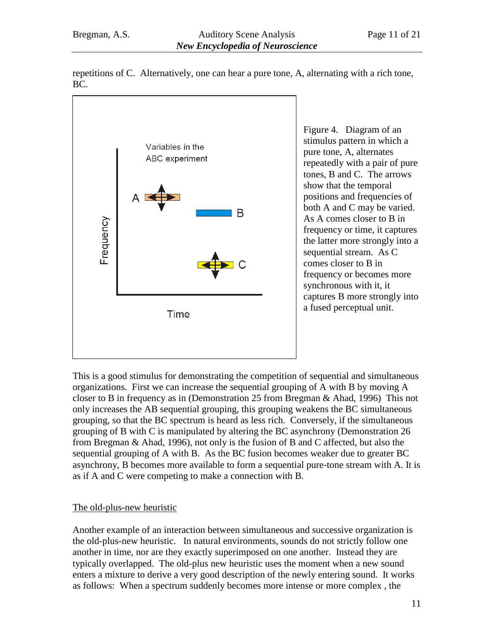

repetitions of C. Alternatively, one can hear a pure tone, A, alternating with a rich tone, BC.

> Figure 4. Diagram of an stimulus pattern in which a pure tone, A, alternates repeatedly with a pair of pure tones, B and C. The arrows show that the temporal positions and frequencies of both A and C may be varied. As A comes closer to B in frequency or time, it captures the latter more strongly into a sequential stream. As C comes closer to B in frequency or becomes more synchronous with it, it captures B more strongly into a fused perceptual unit.

This is a good stimulus for demonstrating the competition of sequential and simultaneous organizations. First we can increase the sequential grouping of A with B by moving A closer to B in frequency as in (Demonstration 25 from Bregman & Ahad, 1996) This not only increases the AB sequential grouping, this grouping weakens the BC simultaneous grouping, so that the BC spectrum is heard as less rich. Conversely, if the simultaneous grouping of B with C is manipulated by altering the BC asynchrony (Demonstration 26 from Bregman & Ahad, 1996), not only is the fusion of B and C affected, but also the sequential grouping of A with B. As the BC fusion becomes weaker due to greater BC asynchrony, B becomes more available to form a sequential pure-tone stream with A. It is as if A and C were competing to make a connection with B.

# The old-plus-new heuristic

Another example of an interaction between simultaneous and successive organization is the old-plus-new heuristic. In natural environments, sounds do not strictly follow one another in time, nor are they exactly superimposed on one another. Instead they are typically overlapped. The old-plus new heuristic uses the moment when a new sound enters a mixture to derive a very good description of the newly entering sound. It works as follows: When a spectrum suddenly becomes more intense or more complex , the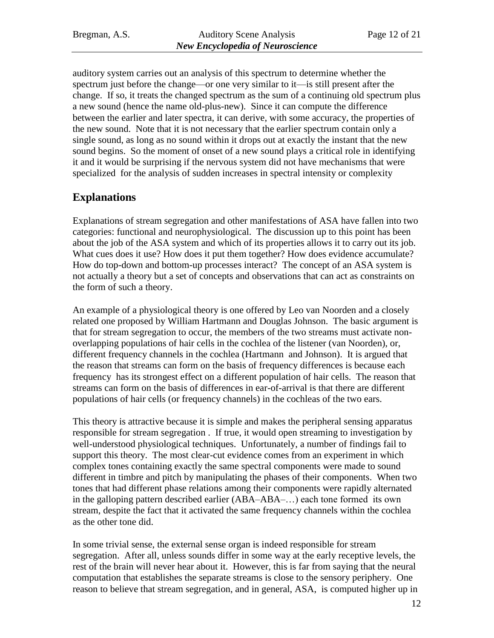auditory system carries out an analysis of this spectrum to determine whether the spectrum just before the change—or one very similar to it—is still present after the change. If so, it treats the changed spectrum as the sum of a continuing old spectrum plus a new sound (hence the name old-plus-new). Since it can compute the difference between the earlier and later spectra, it can derive, with some accuracy, the properties of the new sound. Note that it is not necessary that the earlier spectrum contain only a single sound, as long as no sound within it drops out at exactly the instant that the new sound begins. So the moment of onset of a new sound plays a critical role in identifying it and it would be surprising if the nervous system did not have mechanisms that were specialized for the analysis of sudden increases in spectral intensity or complexity

# **Explanations**

Explanations of stream segregation and other manifestations of ASA have fallen into two categories: functional and neurophysiological. The discussion up to this point has been about the job of the ASA system and which of its properties allows it to carry out its job. What cues does it use? How does it put them together? How does evidence accumulate? How do top-down and bottom-up processes interact? The concept of an ASA system is not actually a theory but a set of concepts and observations that can act as constraints on the form of such a theory.

An example of a physiological theory is one offered by Leo van Noorden and a closely related one proposed by William Hartmann and Douglas Johnson. The basic argument is that for stream segregation to occur, the members of the two streams must activate nonoverlapping populations of hair cells in the cochlea of the listener (van Noorden), or, different frequency channels in the cochlea (Hartmann and Johnson). It is argued that the reason that streams can form on the basis of frequency differences is because each frequency has its strongest effect on a different population of hair cells. The reason that streams can form on the basis of differences in ear-of-arrival is that there are different populations of hair cells (or frequency channels) in the cochleas of the two ears.

This theory is attractive because it is simple and makes the peripheral sensing apparatus responsible for stream segregation . If true, it would open streaming to investigation by well-understood physiological techniques. Unfortunately, a number of findings fail to support this theory. The most clear-cut evidence comes from an experiment in which complex tones containing exactly the same spectral components were made to sound different in timbre and pitch by manipulating the phases of their components. When two tones that had different phase relations among their components were rapidly alternated in the galloping pattern described earlier (ABA–ABA–…) each tone formed its own stream, despite the fact that it activated the same frequency channels within the cochlea as the other tone did.

In some trivial sense, the external sense organ is indeed responsible for stream segregation. After all, unless sounds differ in some way at the early receptive levels, the rest of the brain will never hear about it. However, this is far from saying that the neural computation that establishes the separate streams is close to the sensory periphery. One reason to believe that stream segregation, and in general, ASA, is computed higher up in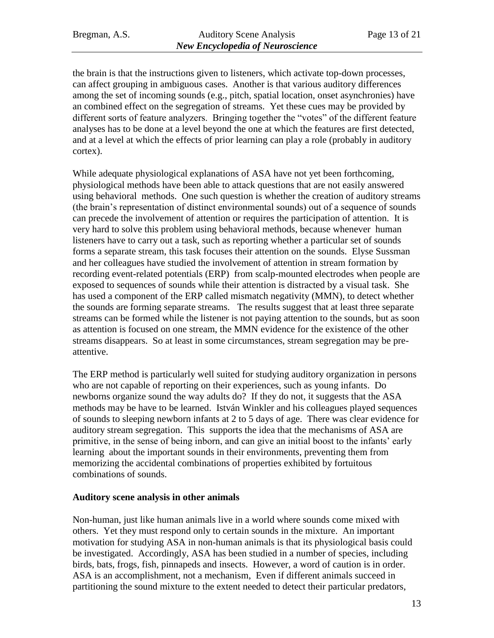the brain is that the instructions given to listeners, which activate top-down processes, can affect grouping in ambiguous cases. Another is that various auditory differences among the set of incoming sounds (e.g., pitch, spatial location, onset asynchronies) have an combined effect on the segregation of streams. Yet these cues may be provided by different sorts of feature analyzers. Bringing together the "votes" of the different feature analyses has to be done at a level beyond the one at which the features are first detected, and at a level at which the effects of prior learning can play a role (probably in auditory cortex).

While adequate physiological explanations of ASA have not yet been forthcoming, physiological methods have been able to attack questions that are not easily answered using behavioral methods. One such question is whether the creation of auditory streams (the brain's representation of distinct environmental sounds) out of a sequence of sounds can precede the involvement of attention or requires the participation of attention. It is very hard to solve this problem using behavioral methods, because whenever human listeners have to carry out a task, such as reporting whether a particular set of sounds forms a separate stream, this task focuses their attention on the sounds. Elyse Sussman and her colleagues have studied the involvement of attention in stream formation by recording event-related potentials (ERP) from scalp-mounted electrodes when people are exposed to sequences of sounds while their attention is distracted by a visual task. She has used a component of the ERP called mismatch negativity (MMN), to detect whether the sounds are forming separate streams. The results suggest that at least three separate streams can be formed while the listener is not paying attention to the sounds, but as soon as attention is focused on one stream, the MMN evidence for the existence of the other streams disappears. So at least in some circumstances, stream segregation may be preattentive.

The ERP method is particularly well suited for studying auditory organization in persons who are not capable of reporting on their experiences, such as young infants. Do newborns organize sound the way adults do? If they do not, it suggests that the ASA methods may be have to be learned. István Winkler and his colleagues played sequences of sounds to sleeping newborn infants at 2 to 5 days of age. There was clear evidence for auditory stream segregation. This supports the idea that the mechanisms of ASA are primitive, in the sense of being inborn, and can give an initial boost to the infants' early learning about the important sounds in their environments, preventing them from memorizing the accidental combinations of properties exhibited by fortuitous combinations of sounds.

#### **Auditory scene analysis in other animals**

Non-human, just like human animals live in a world where sounds come mixed with others. Yet they must respond only to certain sounds in the mixture. An important motivation for studying ASA in non-human animals is that its physiological basis could be investigated. Accordingly, ASA has been studied in a number of species, including birds, bats, frogs, fish, pinnapeds and insects. However, a word of caution is in order. ASA is an accomplishment, not a mechanism, Even if different animals succeed in partitioning the sound mixture to the extent needed to detect their particular predators,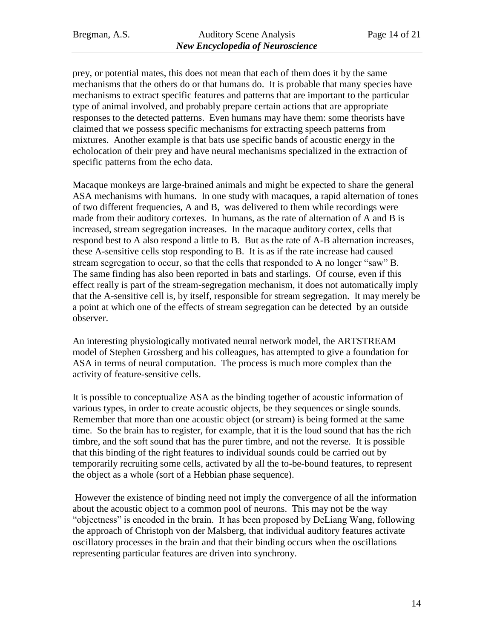prey, or potential mates, this does not mean that each of them does it by the same mechanisms that the others do or that humans do. It is probable that many species have mechanisms to extract specific features and patterns that are important to the particular type of animal involved, and probably prepare certain actions that are appropriate responses to the detected patterns. Even humans may have them: some theorists have claimed that we possess specific mechanisms for extracting speech patterns from mixtures. Another example is that bats use specific bands of acoustic energy in the echolocation of their prey and have neural mechanisms specialized in the extraction of specific patterns from the echo data.

Macaque monkeys are large-brained animals and might be expected to share the general ASA mechanisms with humans. In one study with macaques, a rapid alternation of tones of two different frequencies, A and B, was delivered to them while recordings were made from their auditory cortexes. In humans, as the rate of alternation of A and B is increased, stream segregation increases. In the macaque auditory cortex, cells that respond best to A also respond a little to B. But as the rate of A-B alternation increases, these A-sensitive cells stop responding to B. It is as if the rate increase had caused stream segregation to occur, so that the cells that responded to A no longer "saw" B. The same finding has also been reported in bats and starlings. Of course, even if this effect really is part of the stream-segregation mechanism, it does not automatically imply that the A-sensitive cell is, by itself, responsible for stream segregation. It may merely be a point at which one of the effects of stream segregation can be detected by an outside observer.

An interesting physiologically motivated neural network model, the ARTSTREAM model of Stephen Grossberg and his colleagues, has attempted to give a foundation for ASA in terms of neural computation. The process is much more complex than the activity of feature-sensitive cells.

It is possible to conceptualize ASA as the binding together of acoustic information of various types, in order to create acoustic objects, be they sequences or single sounds. Remember that more than one acoustic object (or stream) is being formed at the same time. So the brain has to register, for example, that it is the loud sound that has the rich timbre, and the soft sound that has the purer timbre, and not the reverse. It is possible that this binding of the right features to individual sounds could be carried out by temporarily recruiting some cells, activated by all the to-be-bound features, to represent the object as a whole (sort of a Hebbian phase sequence).

However the existence of binding need not imply the convergence of all the information about the acoustic object to a common pool of neurons. This may not be the way "objectness" is encoded in the brain. It has been proposed by DeLiang Wang, following the approach of Christoph von der Malsberg, that individual auditory features activate oscillatory processes in the brain and that their binding occurs when the oscillations representing particular features are driven into synchrony.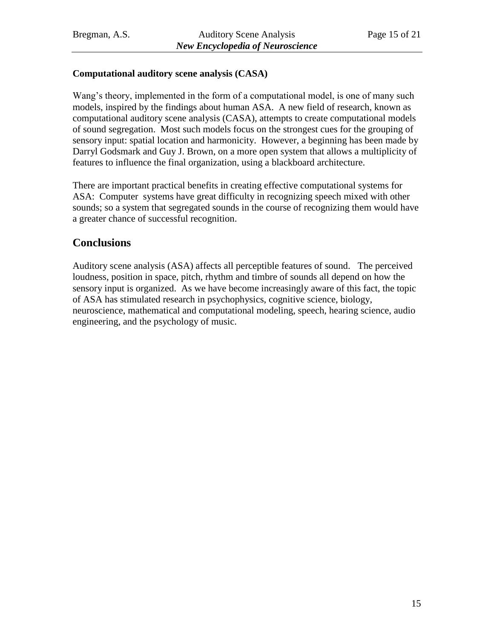# **Computational auditory scene analysis (CASA)**

Wang's theory, implemented in the form of a computational model, is one of many such models, inspired by the findings about human ASA. A new field of research, known as computational auditory scene analysis (CASA), attempts to create computational models of sound segregation. Most such models focus on the strongest cues for the grouping of sensory input: spatial location and harmonicity. However, a beginning has been made by Darryl Godsmark and Guy J. Brown, on a more open system that allows a multiplicity of features to influence the final organization, using a blackboard architecture.

There are important practical benefits in creating effective computational systems for ASA: Computer systems have great difficulty in recognizing speech mixed with other sounds; so a system that segregated sounds in the course of recognizing them would have a greater chance of successful recognition.

# **Conclusions**

Auditory scene analysis (ASA) affects all perceptible features of sound. The perceived loudness, position in space, pitch, rhythm and timbre of sounds all depend on how the sensory input is organized. As we have become increasingly aware of this fact, the topic of ASA has stimulated research in psychophysics, cognitive science, biology, neuroscience, mathematical and computational modeling, speech, hearing science, audio engineering, and the psychology of music.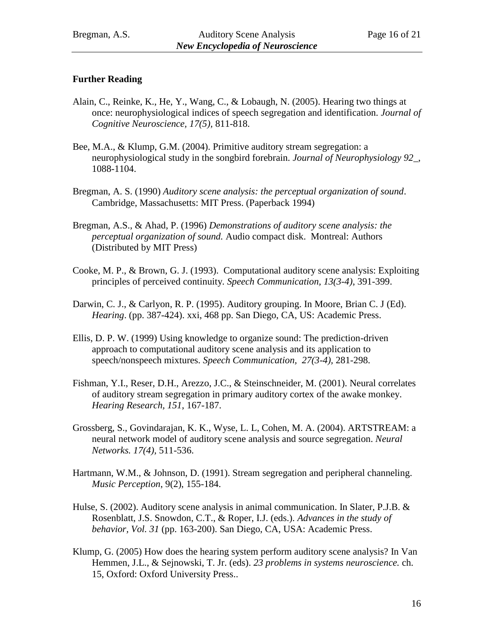# **Further Reading**

- Alain, C., Reinke, K., He, Y., Wang, C., & Lobaugh, N. (2005). Hearing two things at once: neurophysiological indices of speech segregation and identification. *Journal of Cognitive Neuroscience, 17(5),* 811-818.
- Bee, M.A., & Klump, G.M. (2004). Primitive auditory stream segregation: a neurophysiological study in the songbird forebrain. *Journal of Neurophysiology 92*\_, 1088-1104.
- Bregman, A. S. (1990) *Auditory scene analysis: the perceptual organization of sound*. Cambridge, Massachusetts: MIT Press. (Paperback 1994)
- Bregman, A.S., & Ahad, P. (1996) *Demonstrations of auditory scene analysis: the perceptual organization of sound.* Audio compact disk. Montreal: Authors (Distributed by MIT Press)
- Cooke, M. P., & Brown, G. J. (1993). Computational auditory scene analysis: Exploiting principles of perceived continuity. *Speech Communication, 13(3-4)*, 391-399.
- Darwin, C. J., & Carlyon, R. P. (1995). Auditory grouping. In Moore, Brian C. J (Ed). *Hearing*. (pp. 387-424). xxi, 468 pp. San Diego, CA, US: Academic Press.
- Ellis, D. P. W. (1999) Using knowledge to organize sound: The prediction-driven approach to computational auditory scene analysis and its application to speech/nonspeech mixtures. *Speech Communication, 27(3-4),* 281-298.
- Fishman, Y.I., Reser, D.H., Arezzo, J.C., & Steinschneider, M. (2001). Neural correlates of auditory stream segregation in primary auditory cortex of the awake monkey. *Hearing Research, 151*, 167-187.
- Grossberg, S., Govindarajan, K. K., Wyse, L. L, Cohen, M. A. (2004). ARTSTREAM: a neural network model of auditory scene analysis and source segregation. *Neural Networks. 17(4),* 511-536.
- Hartmann, W.M., & Johnson, D. (1991). Stream segregation and peripheral channeling. *Music Perception*, 9(2), 155-184.
- Hulse, S. (2002). Auditory scene analysis in animal communication. In Slater, P.J.B. & Rosenblatt, J.S. Snowdon, C.T., & Roper, I.J. (eds.). *Advances in the study of behavior, Vol. 31* (pp. 163-200). San Diego, CA, USA: Academic Press.
- Klump, G. (2005) How does the hearing system perform auditory scene analysis? In Van Hemmen, J.L., & Sejnowski, T. Jr. (eds). *23 problems in systems neuroscience.* ch. 15, Oxford: Oxford University Press..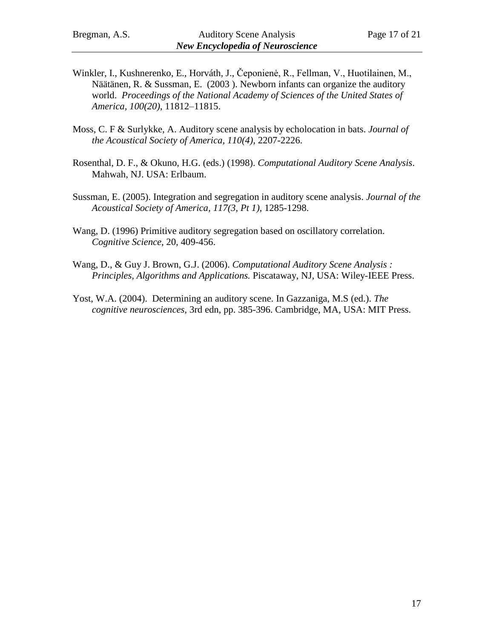- Winkler, I., Kushnerenko, E., Horváth, J., Čeponienė, R., Fellman, V., Huotilainen, M., Näätänen, R. & Sussman, E. (2003 ). Newborn infants can organize the auditory world. *Proceedings of the National Academy of Sciences of the United States of America, 100(20)*, 11812–11815.
- Moss, C. F & Surlykke, A. Auditory scene analysis by echolocation in bats. *Journal of the Acoustical Society of America, 110(4)*, 2207-2226.
- Rosenthal, D. F., & Okuno, H.G. (eds.) (1998). *Computational Auditory Scene Analysis*. Mahwah, NJ. USA: Erlbaum.
- Sussman, E. (2005). Integration and segregation in auditory scene analysis. *Journal of the Acoustical Society of America, 117(3, Pt 1),* 1285-1298.
- Wang, D. (1996) Primitive auditory segregation based on oscillatory correlation. *Cognitive Science*, 20, 409-456.
- Wang, D., & Guy J. Brown, G.J. (2006). *Computational Auditory Scene Analysis : Principles, Algorithms and Applications.* Piscataway, NJ, USA: Wiley-IEEE Press.
- Yost, W.A. (2004). Determining an auditory scene. In Gazzaniga, M.S (ed.). *The cognitive neurosciences,* 3rd edn, pp. 385-396. Cambridge, MA, USA: MIT Press.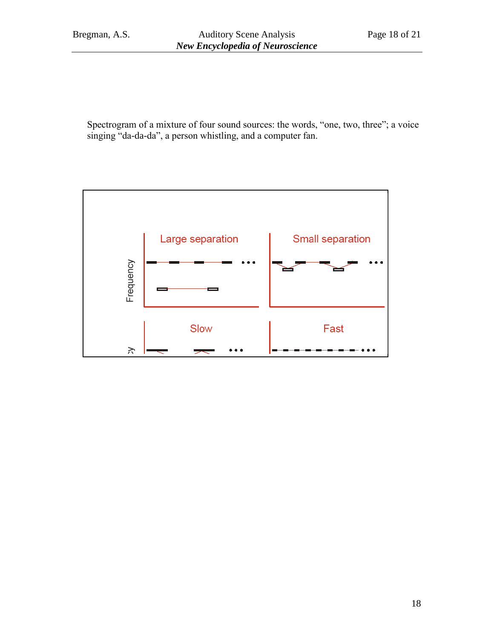Spectrogram of a mixture of four sound sources: the words, "one, two, three"; a voice singing "da-da-da", a person whistling, and a computer fan.

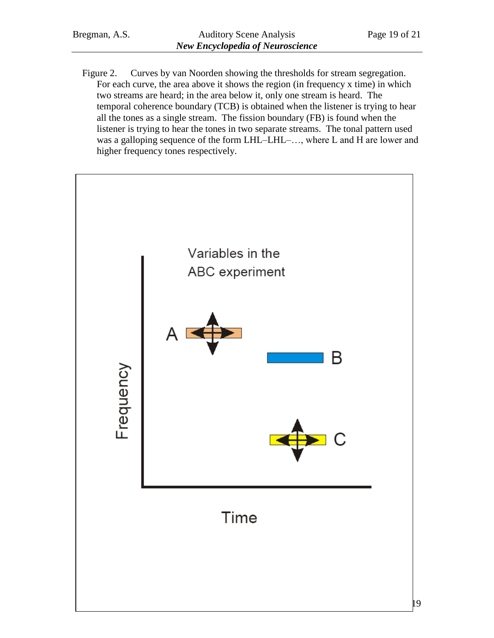Figure 2. Curves by van Noorden showing the thresholds for stream segregation. For each curve, the area above it shows the region (in frequency x time) in which two streams are heard; in the area below it, only one stream is heard. The temporal coherence boundary (TCB) is obtained when the listener is trying to hear all the tones as a single stream. The fission boundary (FB) is found when the listener is trying to hear the tones in two separate streams. The tonal pattern used was a galloping sequence of the form LHL–LHL–..., where L and H are lower and higher frequency tones respectively.

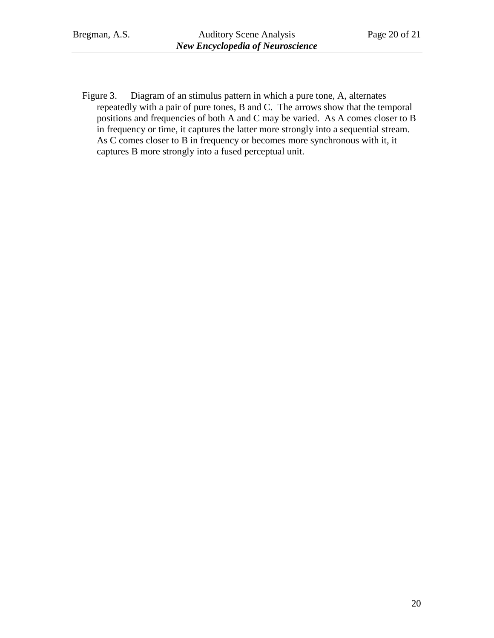Figure 3. Diagram of an stimulus pattern in which a pure tone, A, alternates repeatedly with a pair of pure tones, B and C. The arrows show that the temporal positions and frequencies of both A and C may be varied. As A comes closer to B in frequency or time, it captures the latter more strongly into a sequential stream. As C comes closer to B in frequency or becomes more synchronous with it, it captures B more strongly into a fused perceptual unit.